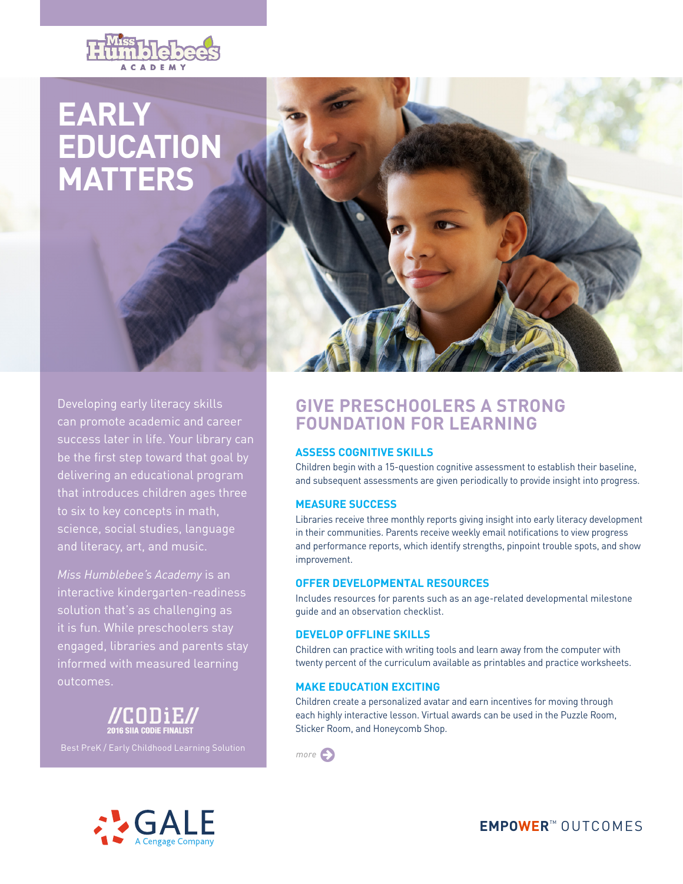

# **EARLY EDUCATION MATTERS**



Developing early literacy skills can promote academic and career success later in life. Your library can be the first step toward that goal by delivering an educational program that introduces children ages three to six to key concepts in math, science, social studies, language and literacy, art, and music.

*Miss Humblebee's Academy* is an interactive kindergarten-readiness solution that's as challenging as it is fun. While preschoolers stay engaged, libraries and parents stay informed with measured learning outcomes.





## **GIVE PRESCHOOLERS A STRONG FOUNDATION FOR LEARNING**

#### **ASSESS COGNITIVE SKILLS**

Children begin with a 15-question cognitive assessment to establish their baseline, and subsequent assessments are given periodically to provide insight into progress.

#### **MEASURE SUCCESS**

Libraries receive three monthly reports giving insight into early literacy development in their communities. Parents receive weekly email notifications to view progress and performance reports, which identify strengths, pinpoint trouble spots, and show improvement.

#### **OFFER DEVELOPMENTAL RESOURCES**

Includes resources for parents such as an age-related developmental milestone guide and an observation checklist.

#### **DEVELOP OFFLINE SKILLS**

Children can practice with writing tools and learn away from the computer with twenty percent of the curriculum available as printables and practice worksheets.

#### **MAKE EDUCATION EXCITING**

Children create a personalized avatar and earn incentives for moving through each highly interactive lesson. Virtual awards can be used in the Puzzle Room, Sticker Room, and Honeycomb Shop.